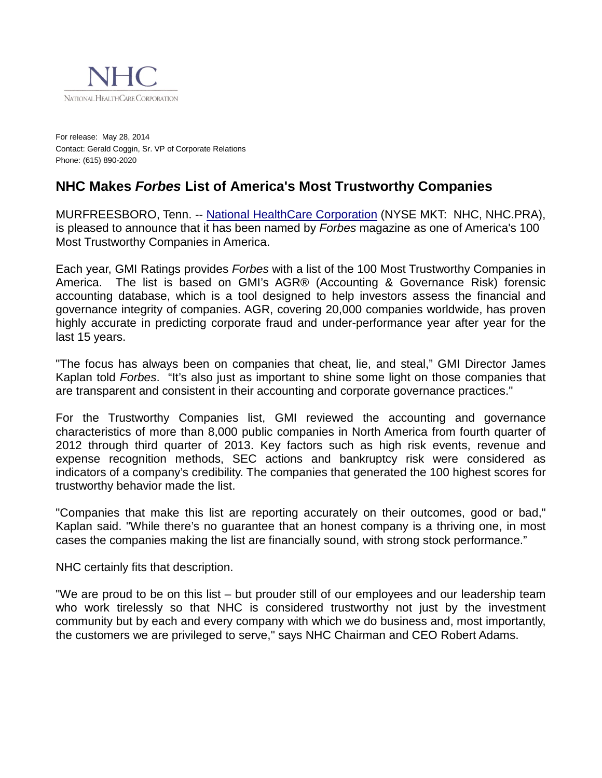

For release: May 28, 2014 Contact: Gerald Coggin, Sr. VP of Corporate Relations Phone: (615) 890-2020

## **NHC Makes** *Forbes* **List of America's Most Trustworthy Companies**

MURFREESBORO, Tenn. -- [National HealthCare Corporation](http://www.nhccare.com/) (NYSE MKT: NHC, NHC.PRA), is pleased to announce that it has been named by *Forbes* magazine as one of America's 100 Most Trustworthy Companies in America.

Each year, GMI Ratings provides *Forbes* with a list of the 100 Most Trustworthy Companies in America. The list is based on GMI's AGR® (Accounting & Governance Risk) forensic accounting database, which is a tool designed to help investors assess the financial and governance integrity of companies. AGR, covering 20,000 companies worldwide, has proven highly accurate in predicting corporate fraud and under-performance year after year for the last 15 years.

"The focus has always been on companies that cheat, lie, and steal," GMI Director James Kaplan told *Forbes*. "It's also just as important to shine some light on those companies that are transparent and consistent in their accounting and corporate governance practices."

For the Trustworthy Companies list, GMI reviewed the accounting and governance characteristics of more than 8,000 public companies in North America from fourth quarter of 2012 through third quarter of 2013. Key factors such as high risk events, revenue and expense recognition methods, SEC actions and bankruptcy risk were considered as indicators of a company's credibility. The companies that generated the 100 highest scores for trustworthy behavior made the list.

"Companies that make this list are reporting accurately on their outcomes, good or bad," Kaplan said. "While there's no guarantee that an honest company is a thriving one, in most cases the companies making the list are financially sound, with strong stock performance."

NHC certainly fits that description.

"We are proud to be on this list – but prouder still of our employees and our leadership team who work tirelessly so that NHC is considered trustworthy not just by the investment community but by each and every company with which we do business and, most importantly, the customers we are privileged to serve," says NHC Chairman and CEO Robert Adams.